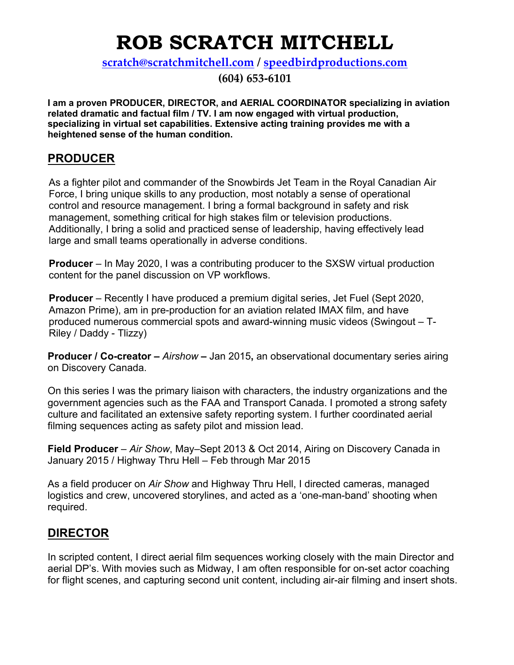# **ROB SCRATCH MITCHELL**

**scratch@scratchmitchell.com / speedbirdproductions.com**

**(604) 653-6101**

**I am a proven PRODUCER, DIRECTOR, and AERIAL COORDINATOR specializing in aviation related dramatic and factual film / TV. I am now engaged with virtual production, specializing in virtual set capabilities. Extensive acting training provides me with a heightened sense of the human condition.**

## **PRODUCER**

As a fighter pilot and commander of the Snowbirds Jet Team in the Royal Canadian Air Force, I bring unique skills to any production, most notably a sense of operational control and resource management. I bring a formal background in safety and risk management, something critical for high stakes film or television productions. Additionally, I bring a solid and practiced sense of leadership, having effectively lead large and small teams operationally in adverse conditions.

**Producer** – In May 2020, I was a contributing producer to the SXSW virtual production content for the panel discussion on VP workflows.

**Producer** – Recently I have produced a premium digital series, Jet Fuel (Sept 2020, Amazon Prime), am in pre-production for an aviation related IMAX film, and have produced numerous commercial spots and award-winning music videos (Swingout – T-Riley / Daddy - Tlizzy)

**Producer / Co-creator –** *Airshow* **–** Jan 2015**,** an observational documentary series airing on Discovery Canada.

On this series I was the primary liaison with characters, the industry organizations and the government agencies such as the FAA and Transport Canada. I promoted a strong safety culture and facilitated an extensive safety reporting system. I further coordinated aerial filming sequences acting as safety pilot and mission lead.

**Field Producer** – *Air Show*, May–Sept 2013 & Oct 2014, Airing on Discovery Canada in January 2015 / Highway Thru Hell – Feb through Mar 2015

As a field producer on *Air Show* and Highway Thru Hell, I directed cameras, managed logistics and crew, uncovered storylines, and acted as a 'one-man-band' shooting when required.

# **DIRECTOR**

In scripted content, I direct aerial film sequences working closely with the main Director and aerial DP's. With movies such as Midway, I am often responsible for on-set actor coaching for flight scenes, and capturing second unit content, including air-air filming and insert shots.